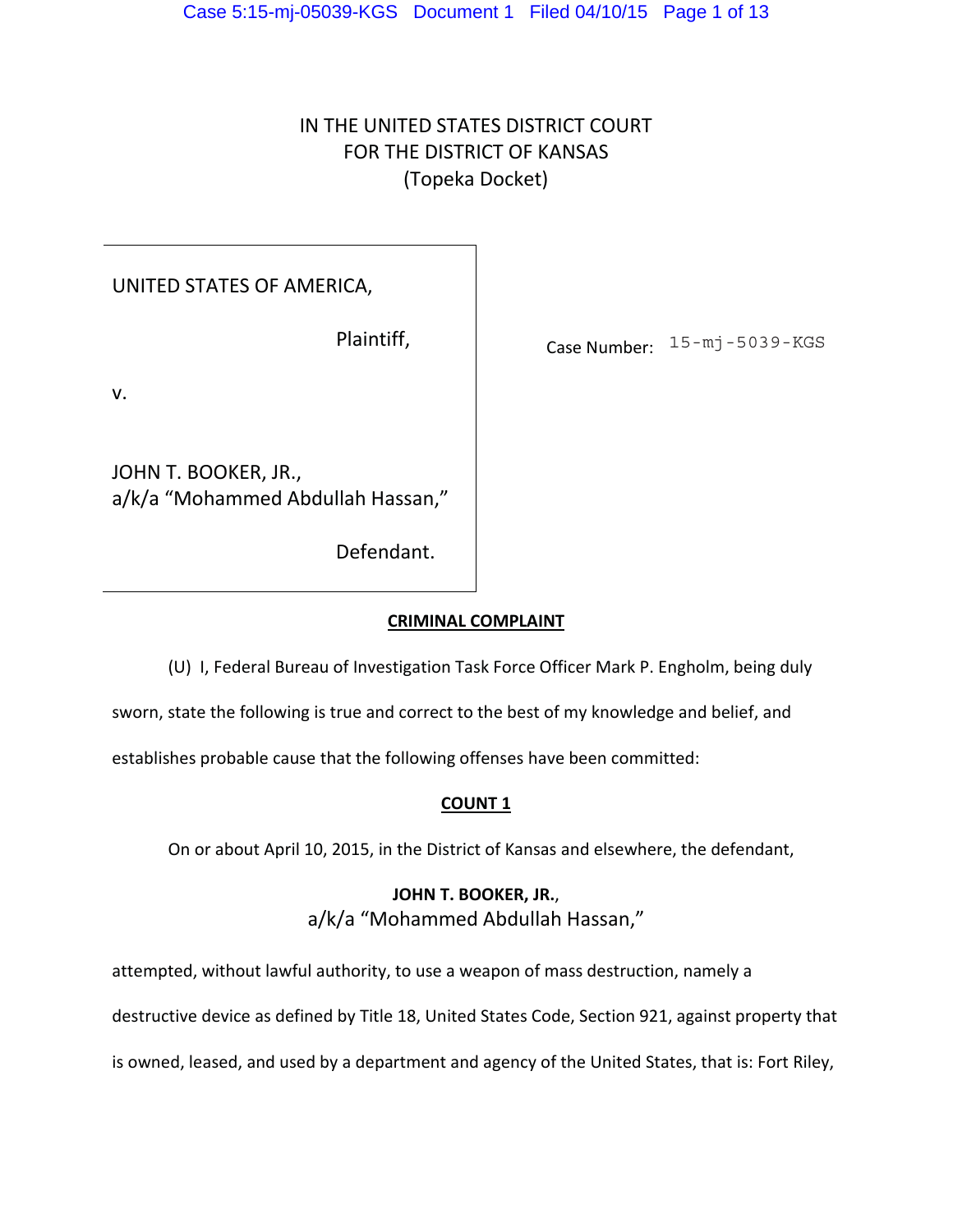# IN THE UNITED STATES DISTRICT COURT FOR THE DISTRICT OF KANSAS (Topeka Docket)

UNITED STATES OF AMERICA,

Plaintiff,

Case Number: 15-mj-5039-KGS

v.

JOHN T. BOOKER, JR., a/k/a "Mohammed Abdullah Hassan,"

Defendant.

### **CRIMINAL COMPLAINT**

(U) I, Federal Bureau of Investigation Task Force Officer Mark P. Engholm, being duly

sworn, state the following is true and correct to the best of my knowledge and belief, and

establishes probable cause that the following offenses have been committed:

## **COUNT 1**

On or about April 10, 2015, in the District of Kansas and elsewhere, the defendant,

## **JOHN T. BOOKER, JR.**, a/k/a "Mohammed Abdullah Hassan,"

attempted, without lawful authority, to use a weapon of mass destruction, namely a

destructive device as defined by Title 18, United States Code, Section 921, against property that

is owned, leased, and used by a department and agency of the United States, that is: Fort Riley,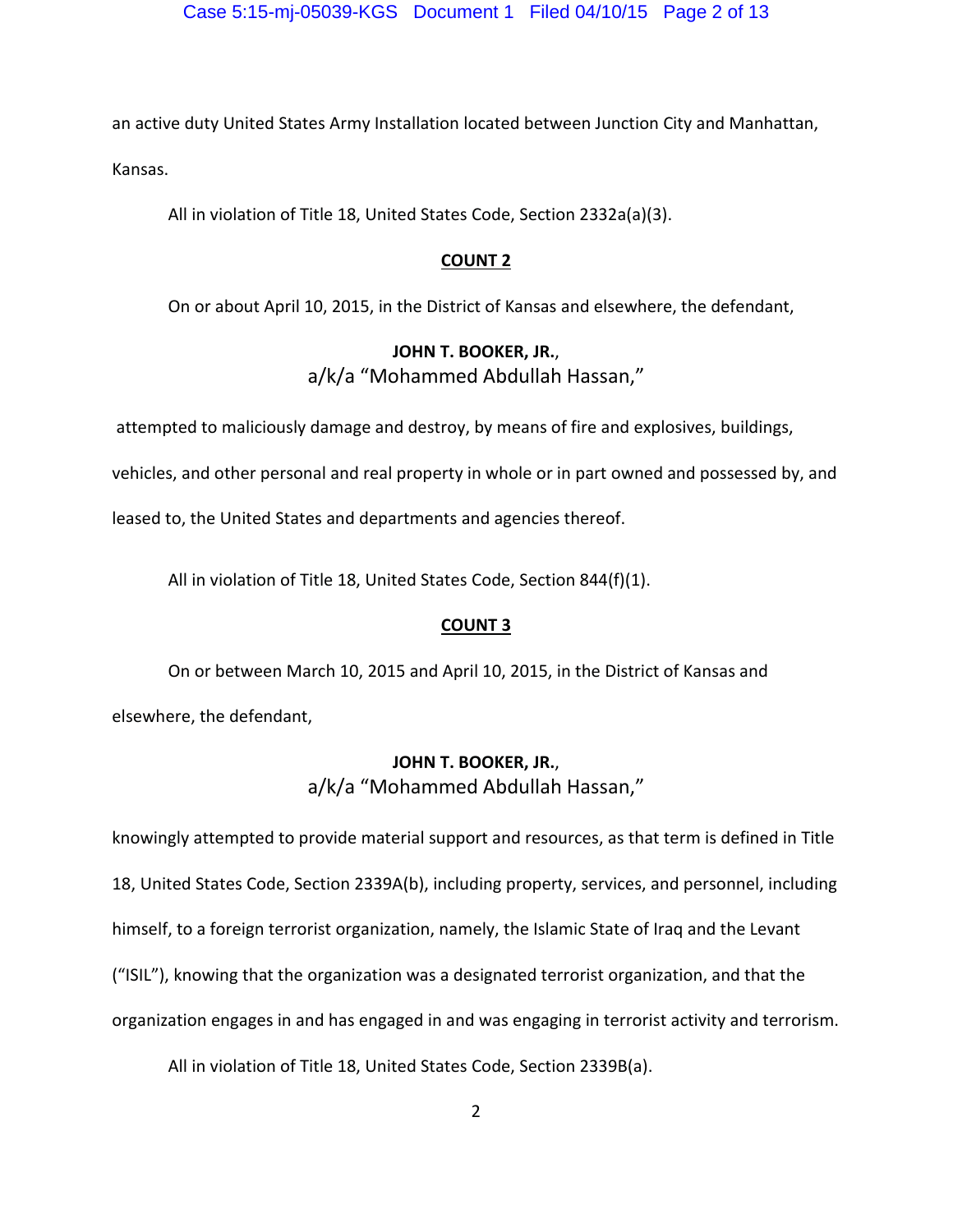an active duty United States Army Installation located between Junction City and Manhattan, Kansas.

All in violation of Title 18, United States Code, Section 2332a(a)(3).

### **COUNT 2**

On or about April 10, 2015, in the District of Kansas and elsewhere, the defendant,

### **JOHN T. BOOKER, JR.**,

a/k/a "Mohammed Abdullah Hassan,"

attempted to maliciously damage and destroy, by means of fire and explosives, buildings,

vehicles, and other personal and real property in whole or in part owned and possessed by, and

leased to, the United States and departments and agencies thereof.

All in violation of Title 18, United States Code, Section 844(f)(1).

### **COUNT 3**

On or between March 10, 2015 and April 10, 2015, in the District of Kansas and elsewhere, the defendant,

## **JOHN T. BOOKER, JR.**, a/k/a "Mohammed Abdullah Hassan,"

knowingly attempted to provide material support and resources, as that term is defined in Title 18, United States Code, Section 2339A(b), including property, services, and personnel, including himself, to a foreign terrorist organization, namely, the Islamic State of Iraq and the Levant ("ISIL"), knowing that the organization was a designated terrorist organization, and that the organization engages in and has engaged in and was engaging in terrorist activity and terrorism.

All in violation of Title 18, United States Code, Section 2339B(a).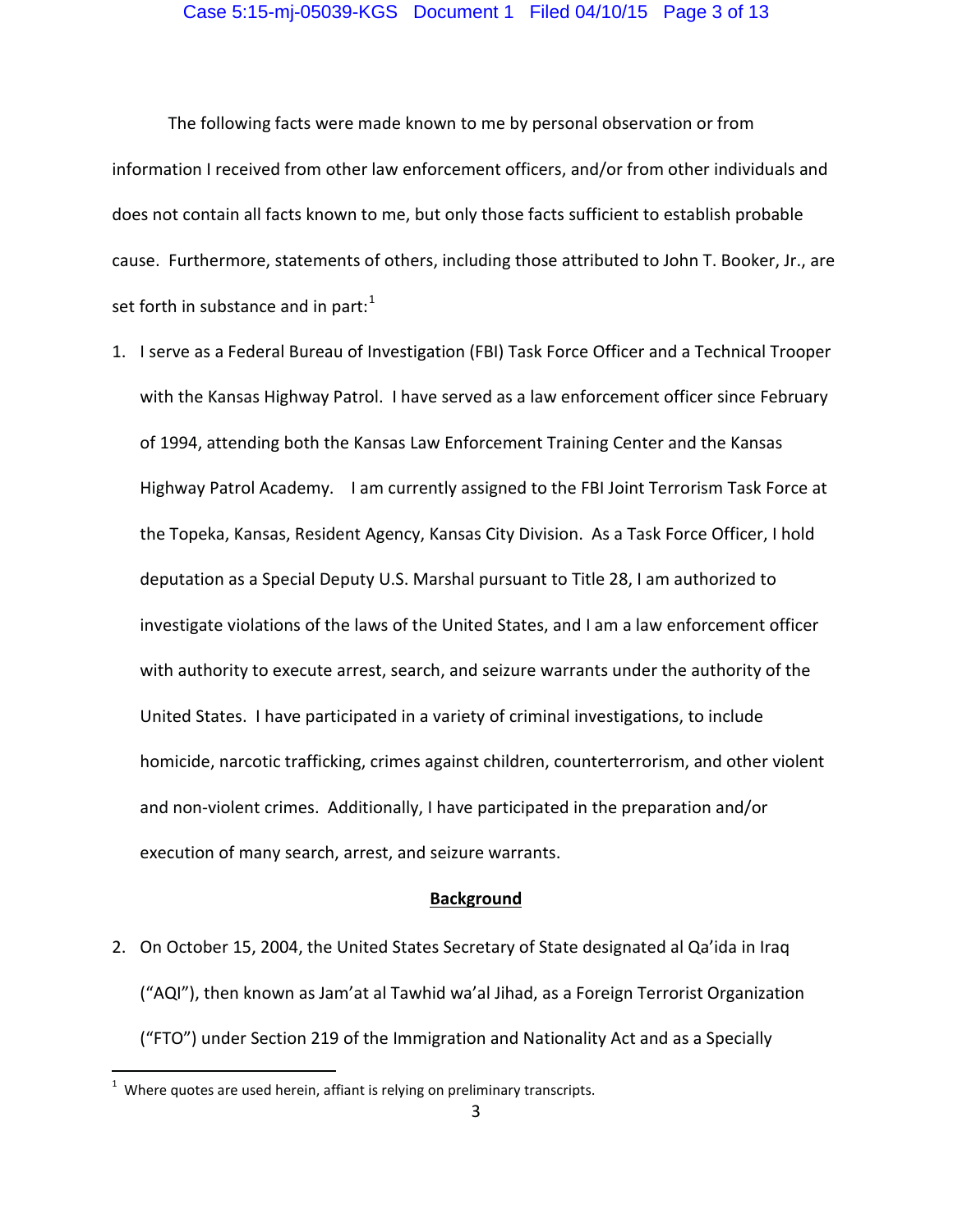#### Case 5:15-mj-05039-KGS Document 1 Filed 04/10/15 Page 3 of 13

 The following facts were made known to me by personal observation or from information I received from other law enforcement officers, and/or from other individuals and does not contain all facts known to me, but only those facts sufficient to establish probable cause. Furthermore, statements of others, including those attributed to John T. Booker, Jr., are set forth in substance and in part: $1$ 

1. I serve as a Federal Bureau of Investigation (FBI) Task Force Officer and a Technical Trooper with the Kansas Highway Patrol. I have served as a law enforcement officer since February of 1994, attending both the Kansas Law Enforcement Training Center and the Kansas Highway Patrol Academy. I am currently assigned to the FBI Joint Terrorism Task Force at the Topeka, Kansas, Resident Agency, Kansas City Division. As a Task Force Officer, I hold deputation as a Special Deputy U.S. Marshal pursuant to Title 28, I am authorized to investigate violations of the laws of the United States, and I am a law enforcement officer with authority to execute arrest, search, and seizure warrants under the authority of the United States. I have participated in a variety of criminal investigations, to include homicide, narcotic trafficking, crimes against children, counterterrorism, and other violent and non-violent crimes. Additionally, I have participated in the preparation and/or execution of many search, arrest, and seizure warrants.

#### **Background**

2. On October 15, 2004, the United States Secretary of State designated al Qa'ida in Iraq ("AQI"), then known as Jam'at al Tawhid wa'al Jihad, as a Foreign Terrorist Organization ("FTO") under Section 219 of the Immigration and Nationality Act and as a Specially

 1 Where quotes are used herein, affiant is relying on preliminary transcripts.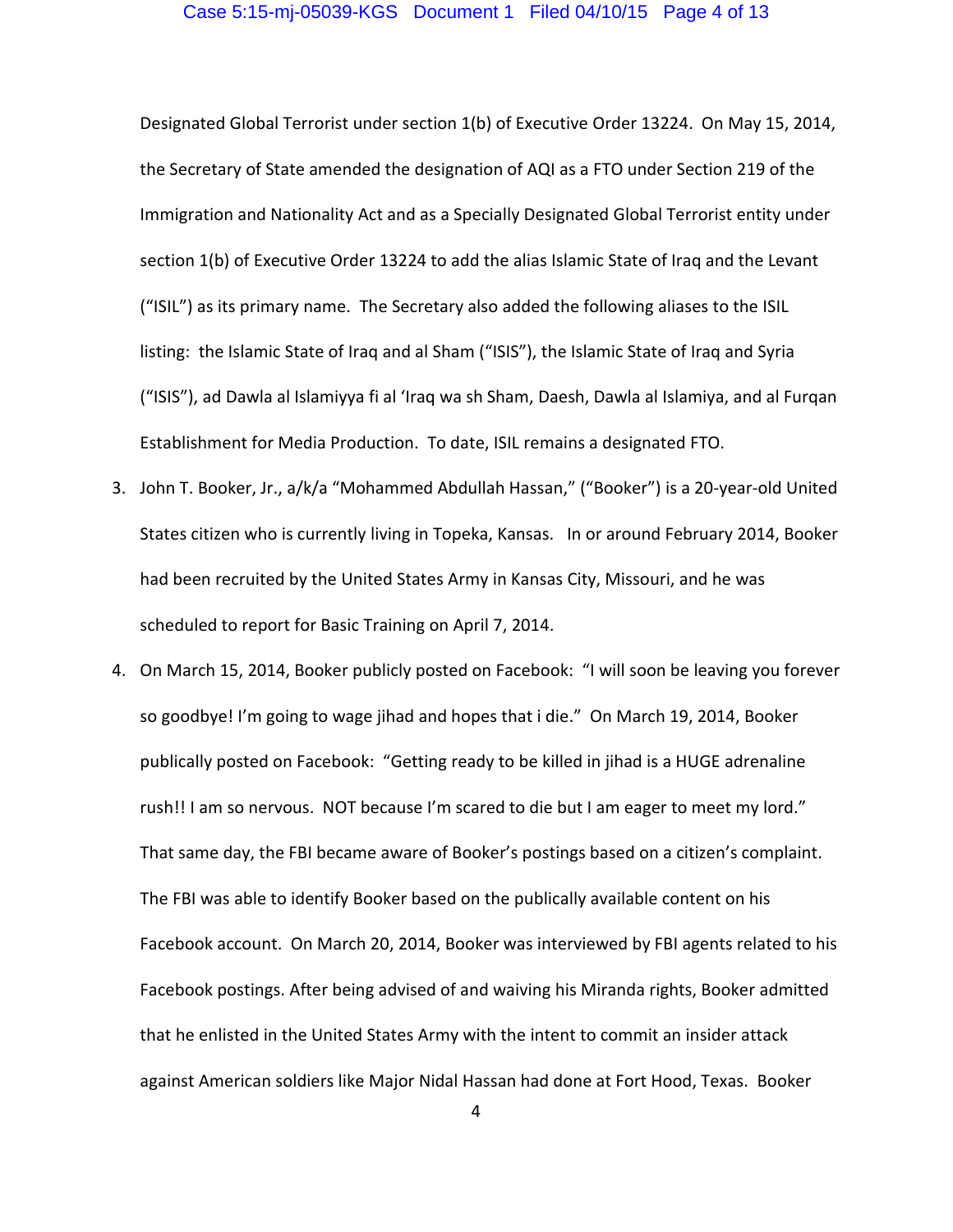#### Case 5:15-mj-05039-KGS Document 1 Filed 04/10/15 Page 4 of 13

Designated Global Terrorist under section 1(b) of Executive Order 13224. On May 15, 2014, the Secretary of State amended the designation of AQI as a FTO under Section 219 of the Immigration and Nationality Act and as a Specially Designated Global Terrorist entity under section 1(b) of Executive Order 13224 to add the alias Islamic State of Iraq and the Levant ("ISIL") as its primary name. The Secretary also added the following aliases to the ISIL listing: the Islamic State of Iraq and al Sham ("ISIS"), the Islamic State of Iraq and Syria ("ISIS"), ad Dawla al Islamiyya fi al 'Iraq wa sh Sham, Daesh, Dawla al Islamiya, and al Furqan Establishment for Media Production. To date, ISIL remains a designated FTO.

- 3. John T. Booker, Jr., a/k/a "Mohammed Abdullah Hassan," ("Booker") is a 20-year-old United States citizen who is currently living in Topeka, Kansas. In or around February 2014, Booker had been recruited by the United States Army in Kansas City, Missouri, and he was scheduled to report for Basic Training on April 7, 2014.
- 4. On March 15, 2014, Booker publicly posted on Facebook: "I will soon be leaving you forever so goodbye! I'm going to wage jihad and hopes that i die." On March 19, 2014, Booker publically posted on Facebook: "Getting ready to be killed in jihad is a HUGE adrenaline rush!! I am so nervous. NOT because I'm scared to die but I am eager to meet my lord." That same day, the FBI became aware of Booker's postings based on a citizen's complaint. The FBI was able to identify Booker based on the publically available content on his Facebook account. On March 20, 2014, Booker was interviewed by FBI agents related to his Facebook postings. After being advised of and waiving his Miranda rights, Booker admitted that he enlisted in the United States Army with the intent to commit an insider attack against American soldiers like Major Nidal Hassan had done at Fort Hood, Texas. Booker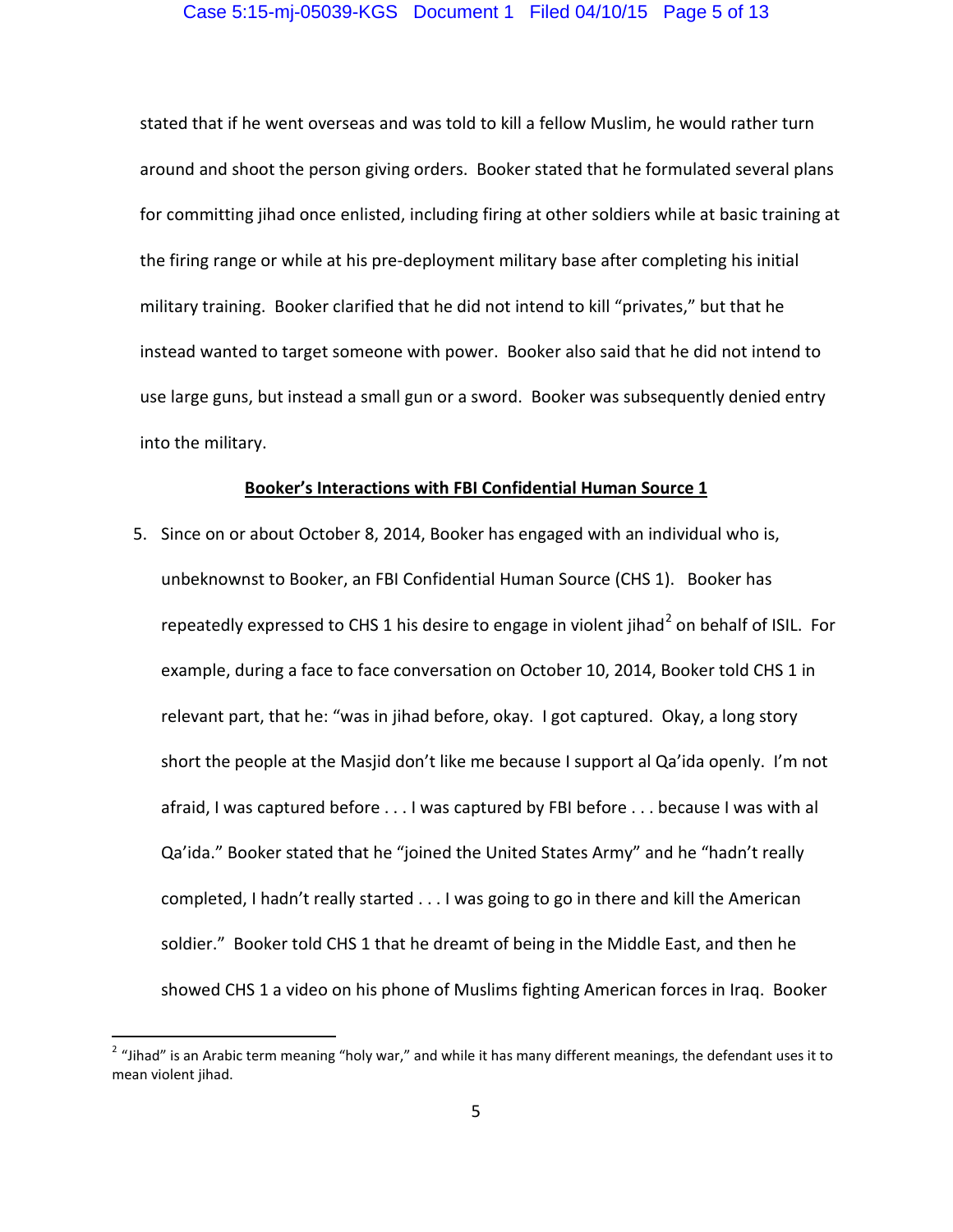#### Case 5:15-mj-05039-KGS Document 1 Filed 04/10/15 Page 5 of 13

stated that if he went overseas and was told to kill a fellow Muslim, he would rather turn around and shoot the person giving orders. Booker stated that he formulated several plans for committing jihad once enlisted, including firing at other soldiers while at basic training at the firing range or while at his pre-deployment military base after completing his initial military training. Booker clarified that he did not intend to kill "privates," but that he instead wanted to target someone with power. Booker also said that he did not intend to use large guns, but instead a small gun or a sword. Booker was subsequently denied entry into the military.

#### **Booker's Interactions with FBI Confidential Human Source 1**

5. Since on or about October 8, 2014, Booker has engaged with an individual who is, unbeknownst to Booker, an FBI Confidential Human Source (CHS 1). Booker has repeatedly expressed to CHS 1 his desire to engage in violent jihad<sup>2</sup> on behalf of ISIL. For example, during a face to face conversation on October 10, 2014, Booker told CHS 1 in relevant part, that he: "was in jihad before, okay. I got captured. Okay, a long story short the people at the Masjid don't like me because I support al Qa'ida openly. I'm not afraid, I was captured before . . . I was captured by FBI before . . . because I was with al Qa'ida." Booker stated that he "joined the United States Army" and he "hadn't really completed, I hadn't really started . . . I was going to go in there and kill the American soldier." Booker told CHS 1 that he dreamt of being in the Middle East, and then he showed CHS 1 a video on his phone of Muslims fighting American forces in Iraq. Booker

 $^2$  "Jihad" is an Arabic term meaning "holy war," and while it has many different meanings, the defendant uses it to mean violent jihad.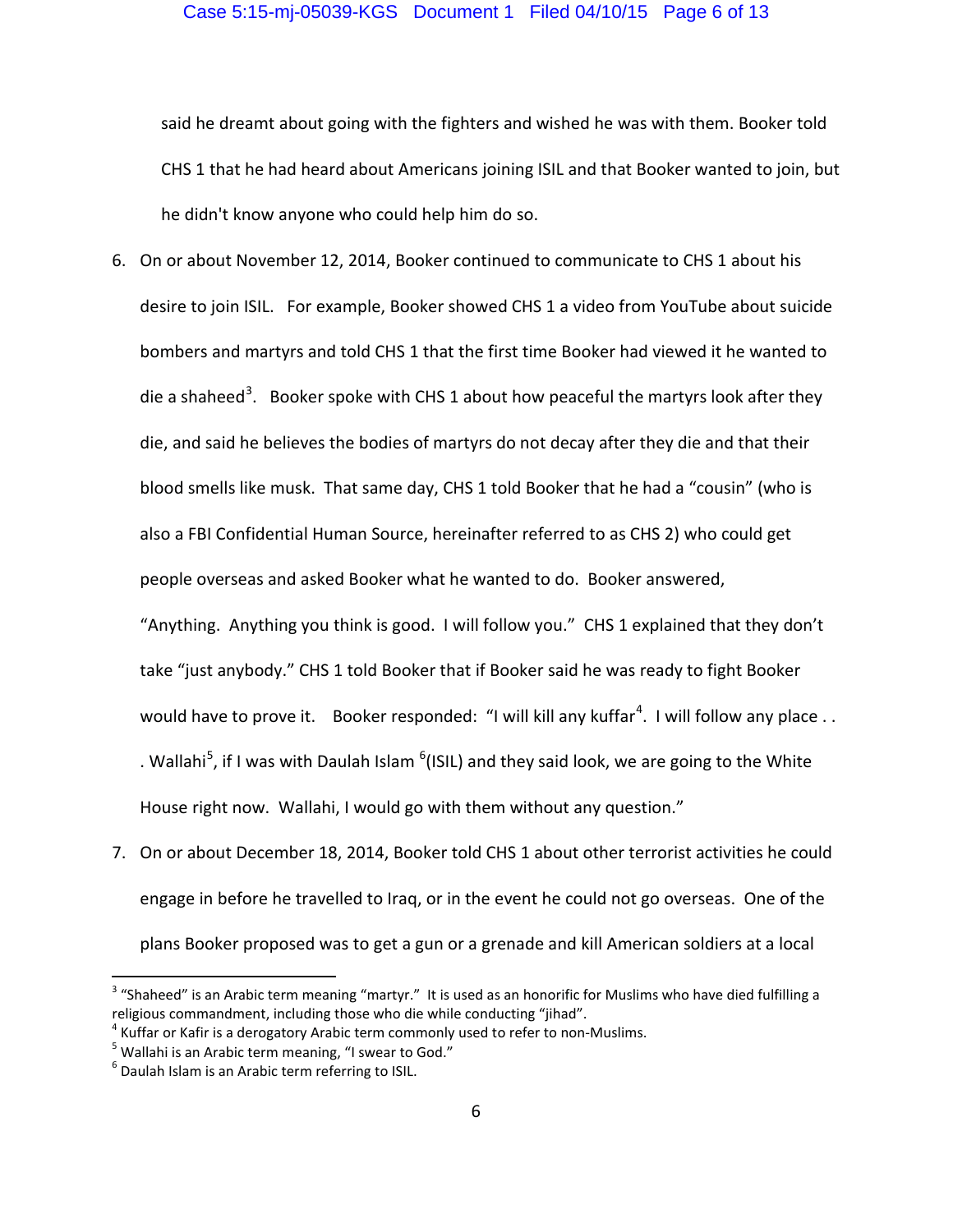said he dreamt about going with the fighters and wished he was with them. Booker told CHS 1 that he had heard about Americans joining ISIL and that Booker wanted to join, but he didn't know anyone who could help him do so.

6. On or about November 12, 2014, Booker continued to communicate to CHS 1 about his desire to join ISIL. For example, Booker showed CHS 1 a video from YouTube about suicide bombers and martyrs and told CHS 1 that the first time Booker had viewed it he wanted to die a shaheed<sup>3</sup>. Booker spoke with CHS 1 about how peaceful the martyrs look after they die, and said he believes the bodies of martyrs do not decay after they die and that their blood smells like musk. That same day, CHS 1 told Booker that he had a "cousin" (who is also a FBI Confidential Human Source, hereinafter referred to as CHS 2) who could get people overseas and asked Booker what he wanted to do. Booker answered,

"Anything. Anything you think is good. I will follow you." CHS 1 explained that they don't take "just anybody." CHS 1 told Booker that if Booker said he was ready to fight Booker would have to prove it. Booker responded: "I will kill any kuffar<sup>4</sup>. I will follow any place . . . Wallahi<sup>5</sup>, if I was with Daulah Islam  $\rm ^{6}$ (ISIL) and they said look, we are going to the White House right now. Wallahi, I would go with them without any question."

7. On or about December 18, 2014, Booker told CHS 1 about other terrorist activities he could engage in before he travelled to Iraq, or in the event he could not go overseas. One of the plans Booker proposed was to get a gun or a grenade and kill American soldiers at a local

 $3$  "Shaheed" is an Arabic term meaning "martyr." It is used as an honorific for Muslims who have died fulfilling a religious commandment, including those who die while conducting "jihad".

<sup>&</sup>lt;sup>4</sup> Kuffar or Kafir is a derogatory Arabic term commonly used to refer to non-Muslims.<br><sup>5</sup> Wallabi is an Arabis term meaning, "Lausar to God."

 $<sup>5</sup>$  Wallahi is an Arabic term meaning, "I swear to God."</sup>

<sup>6</sup> Daulah Islam is an Arabic term referring to ISIL.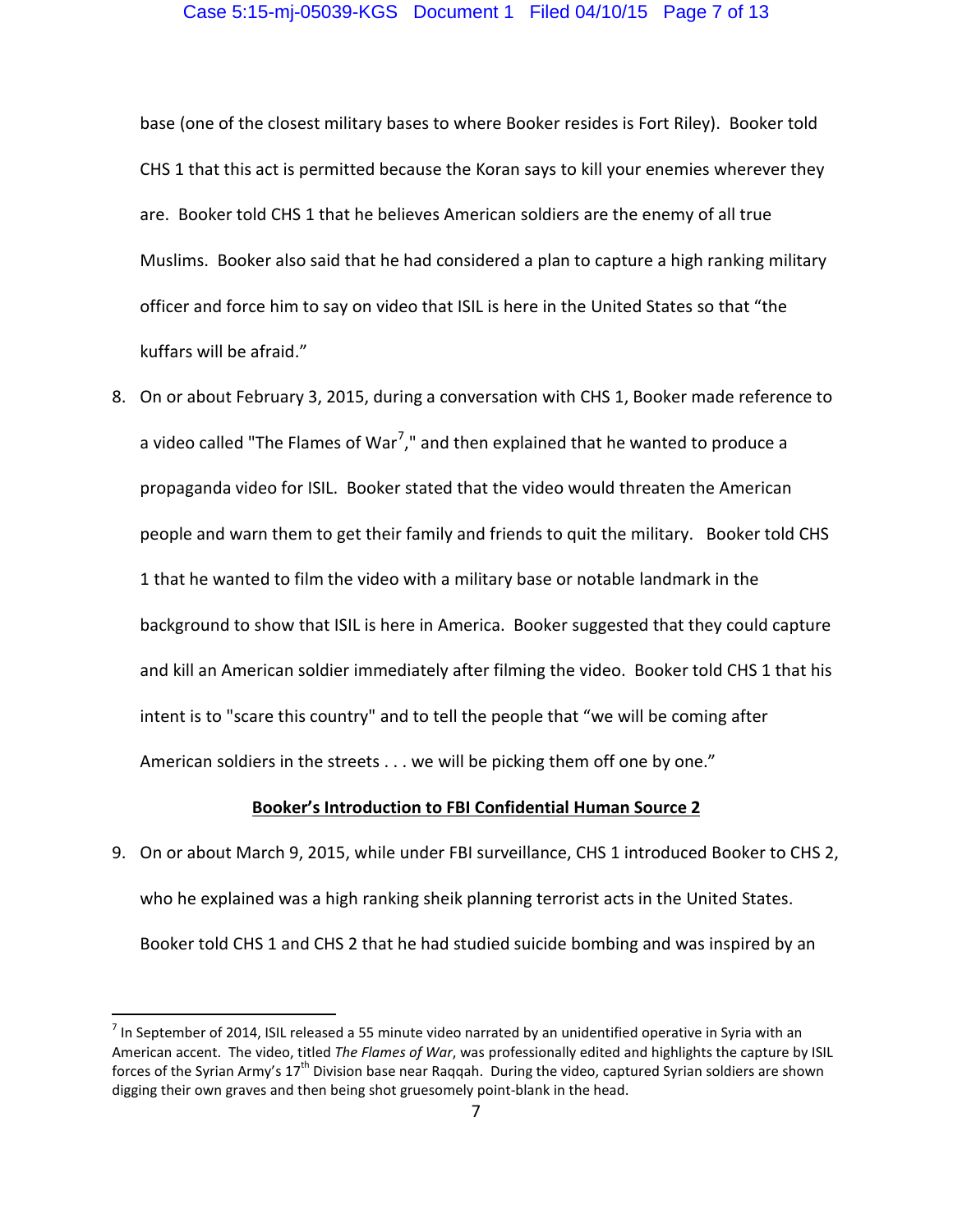base (one of the closest military bases to where Booker resides is Fort Riley). Booker told CHS 1 that this act is permitted because the Koran says to kill your enemies wherever they are. Booker told CHS 1 that he believes American soldiers are the enemy of all true Muslims. Booker also said that he had considered a plan to capture a high ranking military officer and force him to say on video that ISIL is here in the United States so that "the kuffars will be afraid."

8. On or about February 3, 2015, during a conversation with CHS 1, Booker made reference to a video called "The Flames of War<sup>7</sup>," and then explained that he wanted to produce a propaganda video for ISIL. Booker stated that the video would threaten the American people and warn them to get their family and friends to quit the military. Booker told CHS 1 that he wanted to film the video with a military base or notable landmark in the background to show that ISIL is here in America. Booker suggested that they could capture and kill an American soldier immediately after filming the video. Booker told CHS 1 that his intent is to "scare this country" and to tell the people that "we will be coming after American soldiers in the streets . . . we will be picking them off one by one."

#### **Booker's Introduction to FBI Confidential Human Source 2**

9. On or about March 9, 2015, while under FBI surveillance, CHS 1 introduced Booker to CHS 2, who he explained was a high ranking sheik planning terrorist acts in the United States. Booker told CHS 1 and CHS 2 that he had studied suicide bombing and was inspired by an

 $^7$  In September of 2014, ISIL released a 55 minute video narrated by an unidentified operative in Syria with an American accent. The video, titled *The Flames of War*, was professionally edited and highlights the capture by ISIL forces of the Syrian Army's  $17^{th}$  Division base near Raqqah. During the video, captured Syrian soldiers are shown digging their own graves and then being shot gruesomely point-blank in the head.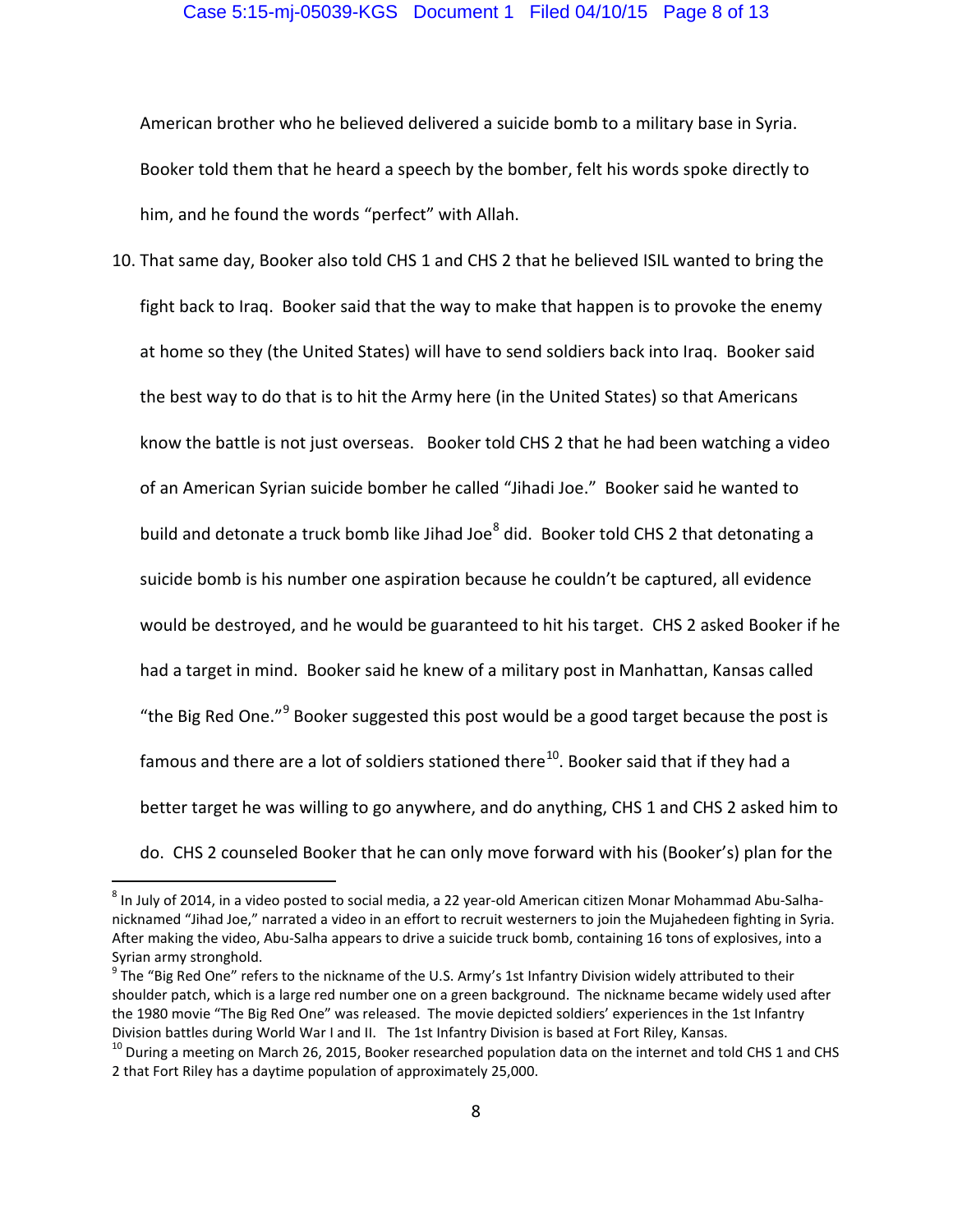American brother who he believed delivered a suicide bomb to a military base in Syria. Booker told them that he heard a speech by the bomber, felt his words spoke directly to him, and he found the words "perfect" with Allah.

10. That same day, Booker also told CHS 1 and CHS 2 that he believed ISIL wanted to bring the fight back to Iraq. Booker said that the way to make that happen is to provoke the enemy at home so they (the United States) will have to send soldiers back into Iraq. Booker said the best way to do that is to hit the Army here (in the United States) so that Americans know the battle is not just overseas. Booker told CHS 2 that he had been watching a video of an American Syrian suicide bomber he called "Jihadi Joe." Booker said he wanted to build and detonate a truck bomb like Jihad Joe<sup>8</sup> did. Booker told CHS 2 that detonating a suicide bomb is his number one aspiration because he couldn't be captured, all evidence would be destroyed, and he would be guaranteed to hit his target. CHS 2 asked Booker if he had a target in mind. Booker said he knew of a military post in Manhattan, Kansas called "the Big Red One."<sup>9</sup> Booker suggested this post would be a good target because the post is famous and there are a lot of soldiers stationed there<sup>10</sup>. Booker said that if they had a better target he was willing to go anywhere, and do anything, CHS 1 and CHS 2 asked him to do. CHS 2 counseled Booker that he can only move forward with his (Booker's) plan for the

 $^8$  In July of 2014, in a video posted to social media, a 22 year-old American citizen Monar Mohammad Abu-Salhanicknamed "Jihad Joe," narrated a video in an effort to recruit westerners to join the Mujahedeen fighting in Syria. After making the video, Abu-Salha appears to drive a suicide truck bomb, containing 16 tons of explosives, into a Syrian army stronghold.

 $^9$  The "Big Red One" refers to the nickname of the U.S. Army's 1st Infantry Division widely attributed to their shoulder patch, which is a large red number one on a green background. The nickname became widely used after the 1980 movie "The Big Red One" was released. The movie depicted soldiers' experiences in the 1st Infantry Division battles during World War I and II. The 1st Infantry Division is based at Fort Riley, Kansas.

<sup>&</sup>lt;sup>10</sup> During a meeting on March 26, 2015, Booker researched population data on the internet and told CHS 1 and CHS 2 that Fort Riley has a daytime population of approximately 25,000.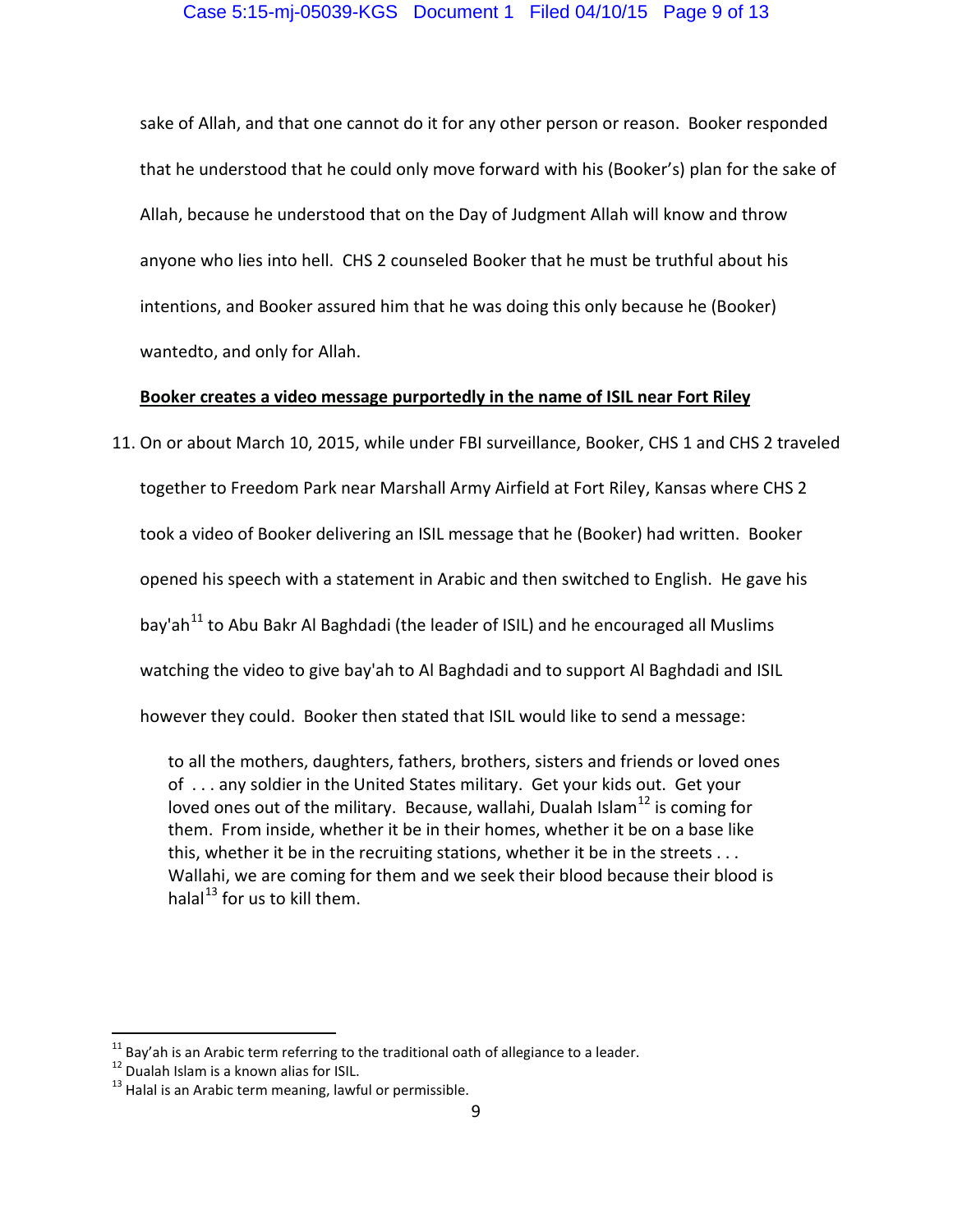sake of Allah, and that one cannot do it for any other person or reason. Booker responded that he understood that he could only move forward with his (Booker's) plan for the sake of Allah, because he understood that on the Day of Judgment Allah will know and throw anyone who lies into hell. CHS 2 counseled Booker that he must be truthful about his intentions, and Booker assured him that he was doing this only because he (Booker) wantedto, and only for Allah.

#### **Booker creates a video message purportedly in the name of ISIL near Fort Riley**

11. On or about March 10, 2015, while under FBI surveillance, Booker, CHS 1 and CHS 2 traveled together to Freedom Park near Marshall Army Airfield at Fort Riley, Kansas where CHS 2 took a video of Booker delivering an ISIL message that he (Booker) had written. Booker opened his speech with a statement in Arabic and then switched to English. He gave his bav'ah $^{11}$  to Abu Bakr Al Baghdadi (the leader of ISIL) and he encouraged all Muslims watching the video to give bay'ah to Al Baghdadi and to support Al Baghdadi and ISIL however they could. Booker then stated that ISIL would like to send a message:

to all the mothers, daughters, fathers, brothers, sisters and friends or loved ones of . . . any soldier in the United States military. Get your kids out. Get your loved ones out of the military. Because, wallahi, Dualah Islam<sup>12</sup> is coming for them. From inside, whether it be in their homes, whether it be on a base like this, whether it be in the recruiting stations, whether it be in the streets . . . Wallahi, we are coming for them and we seek their blood because their blood is halal<sup>13</sup> for us to kill them.

 $11$  Bay'ah is an Arabic term referring to the traditional oath of allegiance to a leader.<br> $12$  Dualah Islam is a known alias for ISIL.

 $13$  Halal is an Arabic term meaning, lawful or permissible.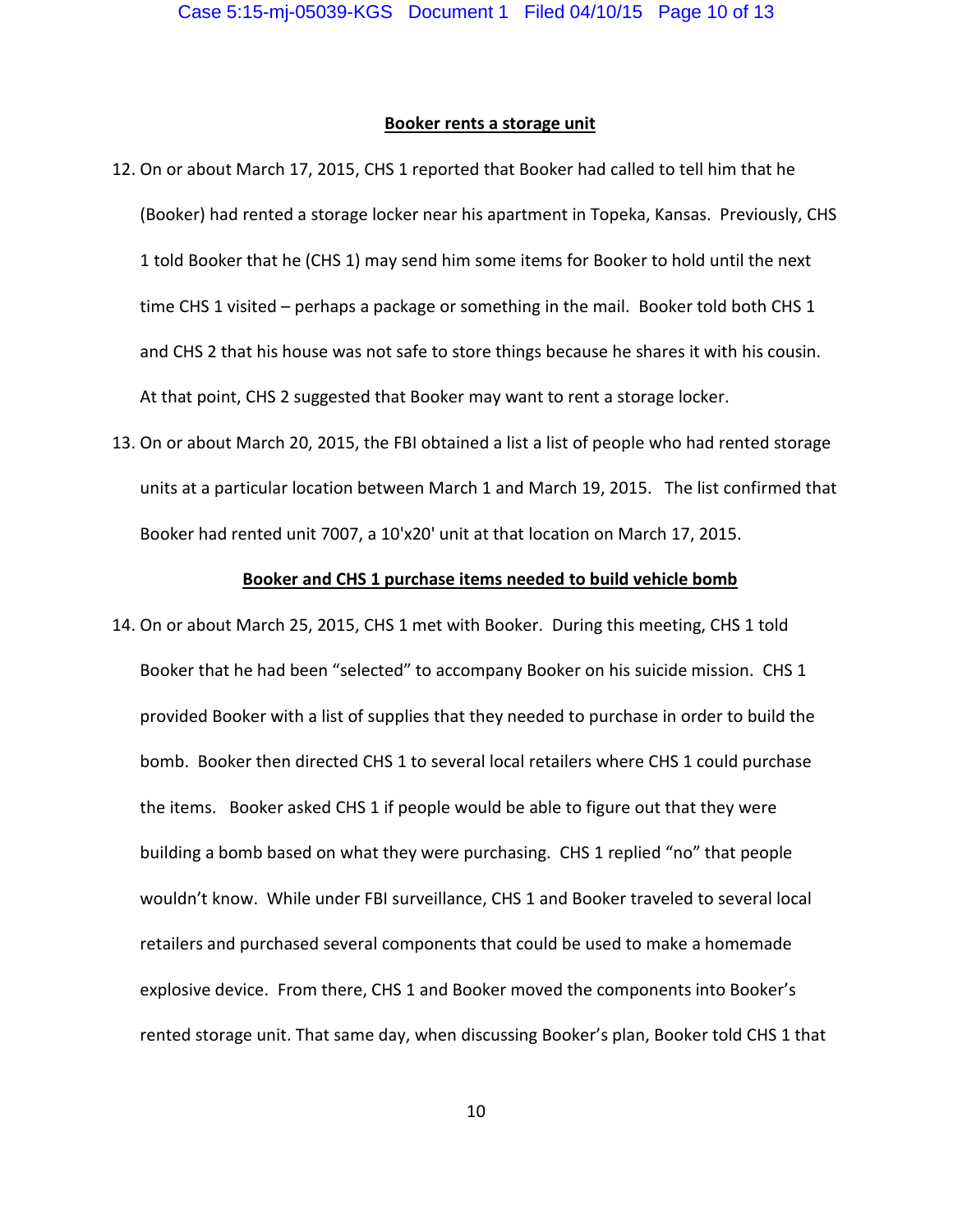#### **Booker rents a storage unit**

- 12. On or about March 17, 2015, CHS 1 reported that Booker had called to tell him that he (Booker) had rented a storage locker near his apartment in Topeka, Kansas. Previously, CHS 1 told Booker that he (CHS 1) may send him some items for Booker to hold until the next time CHS 1 visited - perhaps a package or something in the mail. Booker told both CHS 1 and CHS 2 that his house was not safe to store things because he shares it with his cousin. At that point, CHS 2 suggested that Booker may want to rent a storage locker.
- 13. On or about March 20, 2015, the FBI obtained a list a list of people who had rented storage units at a particular location between March 1 and March 19, 2015. The list confirmed that Booker had rented unit 7007, a 10'x20' unit at that location on March 17, 2015.

#### **Booker and CHS 1 purchase items needed to build vehicle bomb**

14. On or about March 25, 2015, CHS 1 met with Booker. During this meeting, CHS 1 told Booker that he had been "selected" to accompany Booker on his suicide mission. CHS 1 provided Booker with a list of supplies that they needed to purchase in order to build the bomb. Booker then directed CHS 1 to several local retailers where CHS 1 could purchase the items. Booker asked CHS 1 if people would be able to figure out that they were building a bomb based on what they were purchasing. CHS 1 replied "no" that people wouldn't know. While under FBI surveillance, CHS 1 and Booker traveled to several local retailers and purchased several components that could be used to make a homemade explosive device. From there, CHS 1 and Booker moved the components into Booker's rented storage unit. That same day, when discussing Booker's plan, Booker told CHS 1 that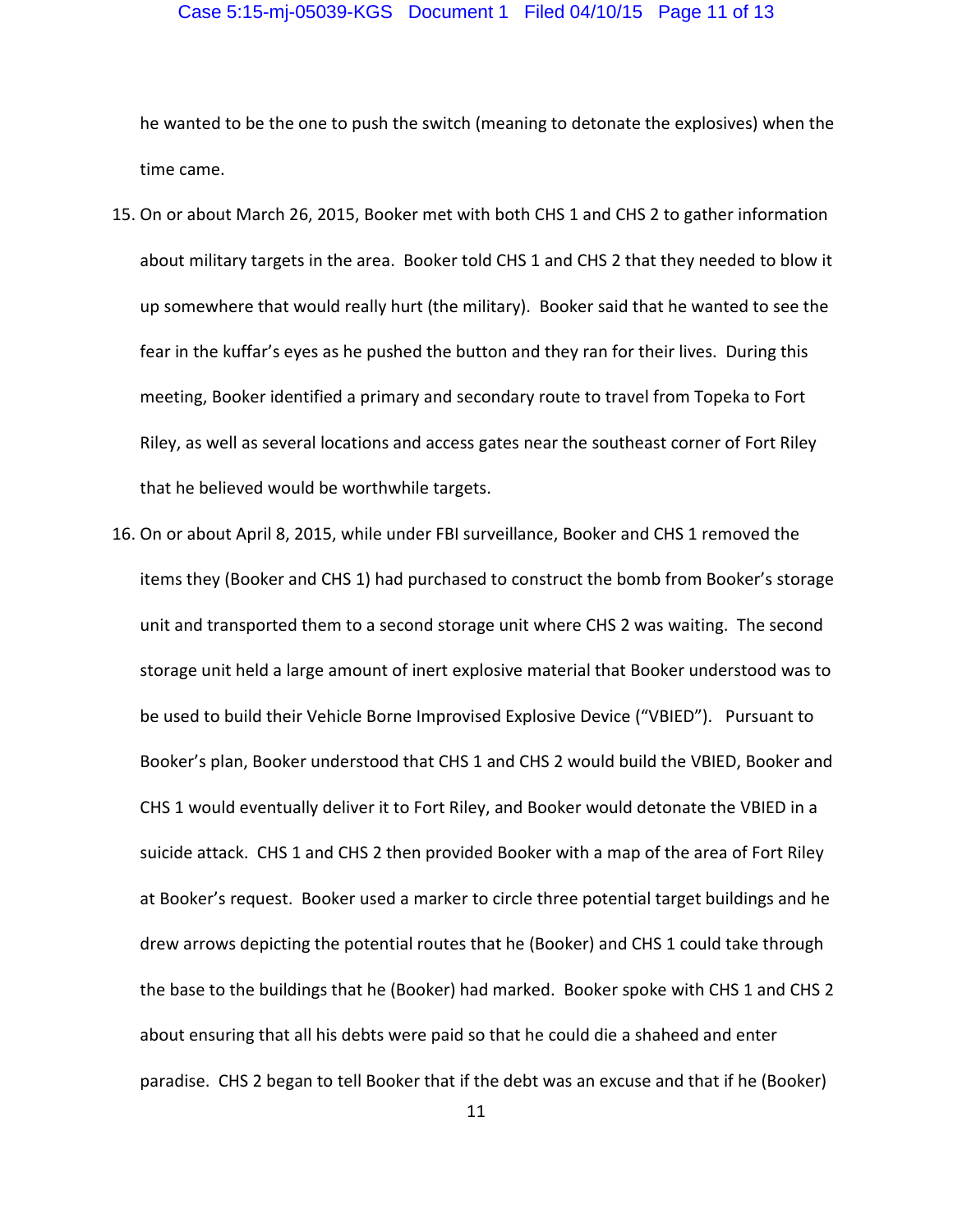#### Case 5:15-mj-05039-KGS Document 1 Filed 04/10/15 Page 11 of 13

he wanted to be the one to push the switch (meaning to detonate the explosives) when the time came.

- 15. On or about March 26, 2015, Booker met with both CHS 1 and CHS 2 to gather information about military targets in the area. Booker told CHS 1 and CHS 2 that they needed to blow it up somewhere that would really hurt (the military). Booker said that he wanted to see the fear in the kuffar's eyes as he pushed the button and they ran for their lives. During this meeting, Booker identified a primary and secondary route to travel from Topeka to Fort Riley, as well as several locations and access gates near the southeast corner of Fort Riley that he believed would be worthwhile targets.
- 16. On or about April 8, 2015, while under FBI surveillance, Booker and CHS 1 removed the items they (Booker and CHS 1) had purchased to construct the bomb from Booker's storage unit and transported them to a second storage unit where CHS 2 was waiting. The second storage unit held a large amount of inert explosive material that Booker understood was to be used to build their Vehicle Borne Improvised Explosive Device ("VBIED"). Pursuant to Booker's plan, Booker understood that CHS 1 and CHS 2 would build the VBIED, Booker and CHS 1 would eventually deliver it to Fort Riley, and Booker would detonate the VBIED in a suicide attack. CHS 1 and CHS 2 then provided Booker with a map of the area of Fort Riley at Booker's request. Booker used a marker to circle three potential target buildings and he drew arrows depicting the potential routes that he (Booker) and CHS 1 could take through the base to the buildings that he (Booker) had marked. Booker spoke with CHS 1 and CHS 2 about ensuring that all his debts were paid so that he could die a shaheed and enter paradise. CHS 2 began to tell Booker that if the debt was an excuse and that if he (Booker)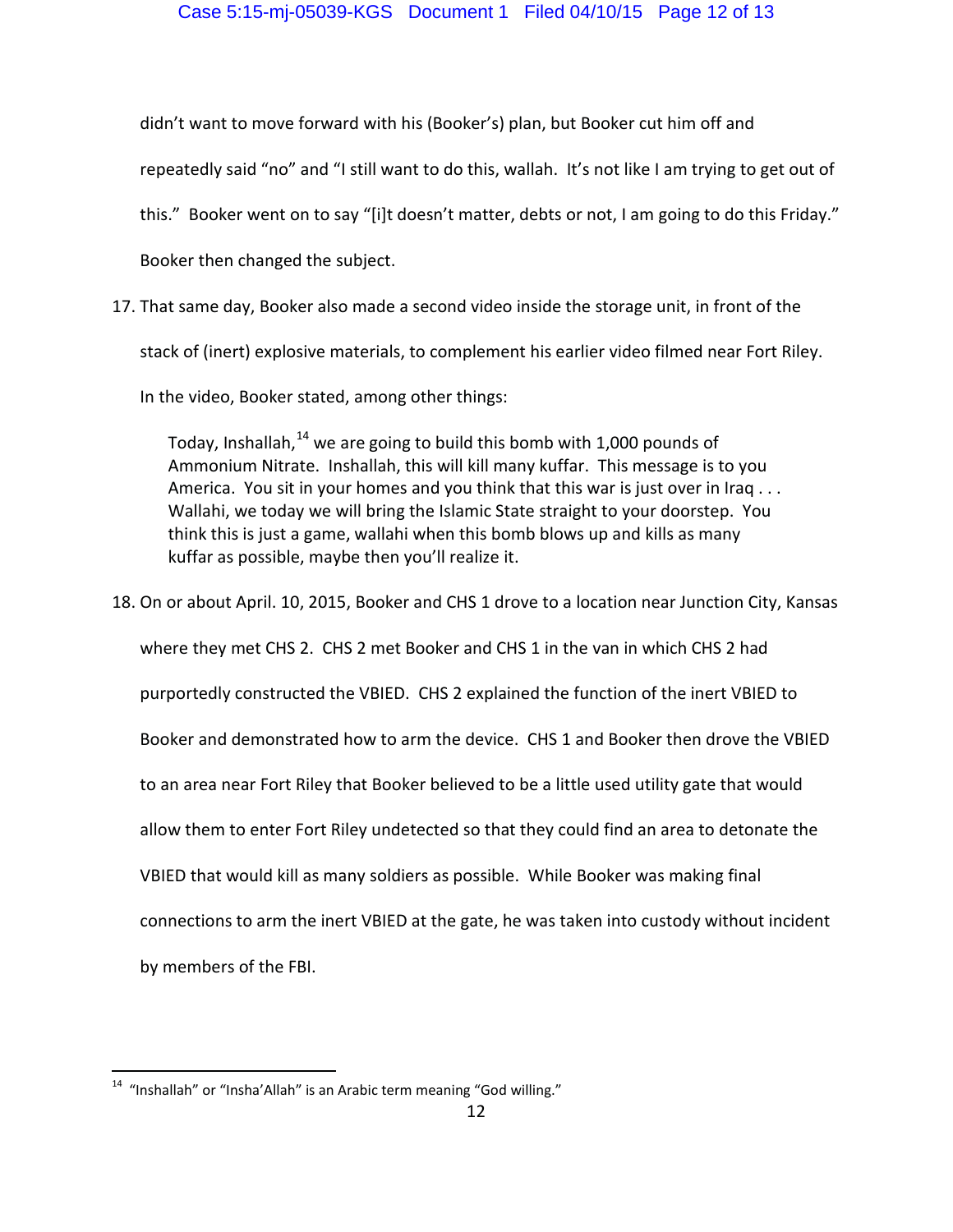didn't want to move forward with his (Booker's) plan, but Booker cut him off and

repeatedly said "no" and "I still want to do this, wallah. It's not like I am trying to get out of

this." Booker went on to say "[i]t doesn't matter, debts or not, I am going to do this Friday."

Booker then changed the subject.

17. That same day, Booker also made a second video inside the storage unit, in front of the

stack of (inert) explosive materials, to complement his earlier video filmed near Fort Riley.

In the video, Booker stated, among other things:

Today, Inshallah,  $^{14}$  we are going to build this bomb with 1,000 pounds of Ammonium Nitrate. Inshallah, this will kill many kuffar. This message is to you America. You sit in your homes and you think that this war is just over in Iraq . . . Wallahi, we today we will bring the Islamic State straight to your doorstep. You think this is just a game, wallahi when this bomb blows up and kills as many kuffar as possible, maybe then you'll realize it.

18. On or about April. 10, 2015, Booker and CHS 1 drove to a location near Junction City, Kansas

where they met CHS 2. CHS 2 met Booker and CHS 1 in the van in which CHS 2 had

purportedly constructed the VBIED. CHS 2 explained the function of the inert VBIED to

Booker and demonstrated how to arm the device. CHS 1 and Booker then drove the VBIED

to an area near Fort Riley that Booker believed to be a little used utility gate that would

allow them to enter Fort Riley undetected so that they could find an area to detonate the

VBIED that would kill as many soldiers as possible. While Booker was making final

connections to arm the inert VBIED at the gate, he was taken into custody without incident

by members of the FBI.

 $\overline{a}$  $14$  "Inshallah" or "Insha'Allah" is an Arabic term meaning "God willing."